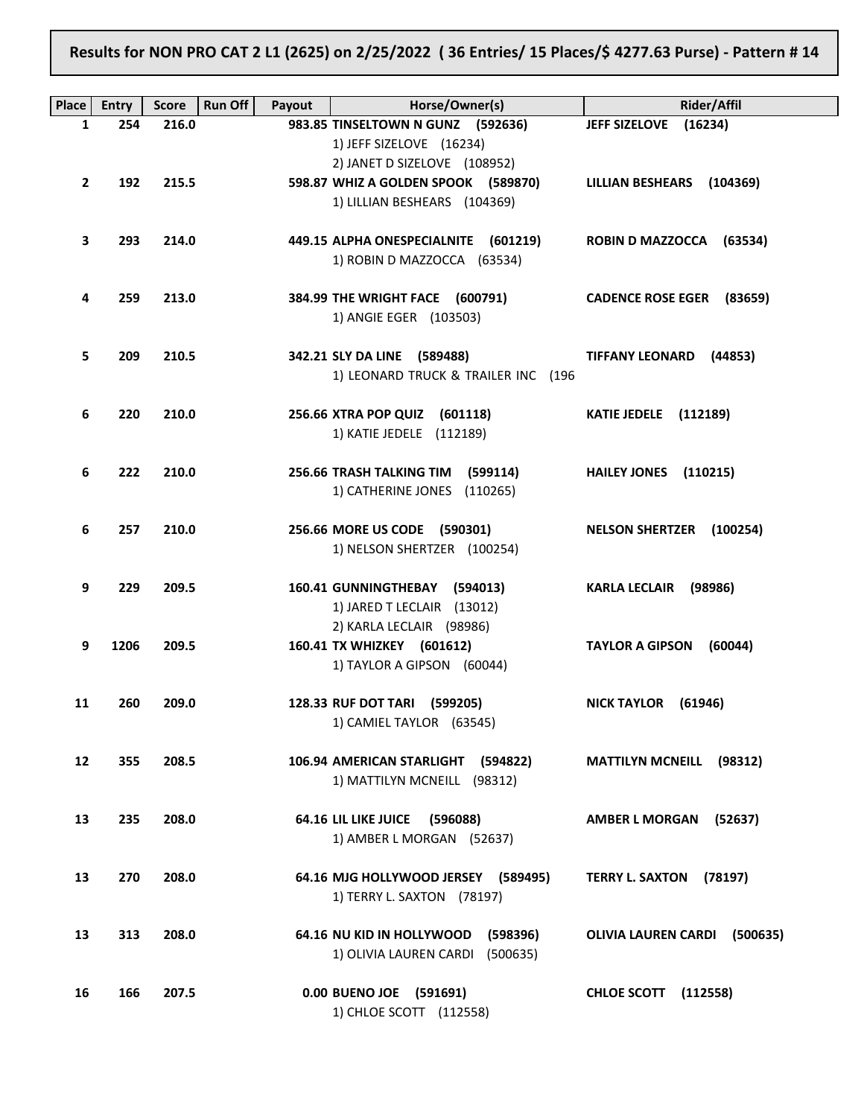Results for NON PRO CAT 2 L1 (2625) on 2/25/2022 ( 36 Entries/ 15 Places/\$ 4277.63 Purse) - Pattern # 14

| Place        | <b>Entry</b> | <b>Score</b> | <b>Run Off</b><br>Payout | Horse/Owner(s)                          | <b>Rider/Affil</b>                 |
|--------------|--------------|--------------|--------------------------|-----------------------------------------|------------------------------------|
| 1            | 254          | 216.0        |                          | 983.85 TINSELTOWN N GUNZ (592636)       | JEFF SIZELOVE (16234)              |
|              |              |              |                          | 1) JEFF SIZELOVE (16234)                |                                    |
|              |              |              |                          | 2) JANET D SIZELOVE (108952)            |                                    |
| $\mathbf{2}$ | 192          | 215.5        |                          | 598.87 WHIZ A GOLDEN SPOOK (589870)     | LILLIAN BESHEARS (104369)          |
|              |              |              |                          | 1) LILLIAN BESHEARS (104369)            |                                    |
|              | 293          | 214.0        |                          | 449.15 ALPHA ONESPECIALNITE (601219)    | ROBIN D MAZZOCCA (63534)           |
| 3            |              |              |                          | 1) ROBIN D MAZZOCCA (63534)             |                                    |
|              |              |              |                          |                                         |                                    |
| 4            | 259          | 213.0        |                          | 384.99 THE WRIGHT FACE (600791)         | CADENCE ROSE EGER (83659)          |
|              |              |              |                          | 1) ANGIE EGER (103503)                  |                                    |
|              |              |              |                          |                                         |                                    |
| 5            | 209          | 210.5        |                          | 342.21 SLY DA LINE (589488)             | TIFFANY LEONARD (44853)            |
|              |              |              |                          | 1) LEONARD TRUCK & TRAILER INC (196     |                                    |
|              |              |              |                          |                                         |                                    |
| 6            | 220          | 210.0        |                          | 256.66 XTRA POP QUIZ (601118)           | <b>KATIE JEDELE</b> (112189)       |
|              |              |              |                          | 1) KATIE JEDELE (112189)                |                                    |
| 6            | 222          | 210.0        |                          | 256.66 TRASH TALKING TIM (599114)       | HAILEY JONES (110215)              |
|              |              |              |                          | 1) CATHERINE JONES (110265)             |                                    |
|              |              |              |                          |                                         |                                    |
| 6            | 257          | 210.0        |                          | 256.66 MORE US CODE (590301)            | NELSON SHERTZER (100254)           |
|              |              |              |                          | 1) NELSON SHERTZER (100254)             |                                    |
|              |              |              |                          |                                         |                                    |
| 9            | 229          | 209.5        |                          | 160.41 GUNNINGTHEBAY (594013)           | KARLA LECLAIR (98986)              |
|              |              |              |                          | 1) JARED T LECLAIR (13012)              |                                    |
|              |              |              |                          | 2) KARLA LECLAIR (98986)                |                                    |
| 9            | 1206         | 209.5        |                          | 160.41 TX WHIZKEY (601612)              | TAYLOR A GIPSON (60044)            |
|              |              |              |                          | 1) TAYLOR A GIPSON (60044)              |                                    |
| 11           | 260          | 209.0        |                          | 128.33 RUF DOT TARI (599205)            | NICK TAYLOR (61946)                |
|              |              |              |                          | 1) CAMIEL TAYLOR (63545)                |                                    |
|              |              |              |                          |                                         |                                    |
| 12           | 355          | 208.5        |                          | 106.94 AMERICAN STARLIGHT (594822)      | <b>MATTILYN MCNEILL</b><br>(98312) |
|              |              |              |                          | 1) MATTILYN MCNEILL (98312)             |                                    |
|              |              |              |                          |                                         |                                    |
| 13           | 235          | 208.0        |                          | <b>64.16 LIL LIKE JUICE</b><br>(596088) | <b>AMBER L MORGAN</b><br>(52637)   |
|              |              |              |                          | 1) AMBER L MORGAN (52637)               |                                    |
| 13           | 270          | 208.0        |                          | 64.16 MJG HOLLYWOOD JERSEY (589495)     | <b>TERRY L. SAXTON</b><br>(78197)  |
|              |              |              |                          | 1) TERRY L. SAXTON (78197)              |                                    |
|              |              |              |                          |                                         |                                    |
| 13           | 313          | 208.0        |                          | 64.16 NU KID IN HOLLYWOOD<br>(598396)   | OLIVIA LAUREN CARDI (500635)       |
|              |              |              |                          | 1) OLIVIA LAUREN CARDI<br>(500635)      |                                    |
|              |              |              |                          |                                         |                                    |
| 16           | 166          | 207.5        |                          | 0.00 BUENO JOE (591691)                 | <b>CHLOE SCOTT</b><br>(112558)     |
|              |              |              |                          | 1) CHLOE SCOTT (112558)                 |                                    |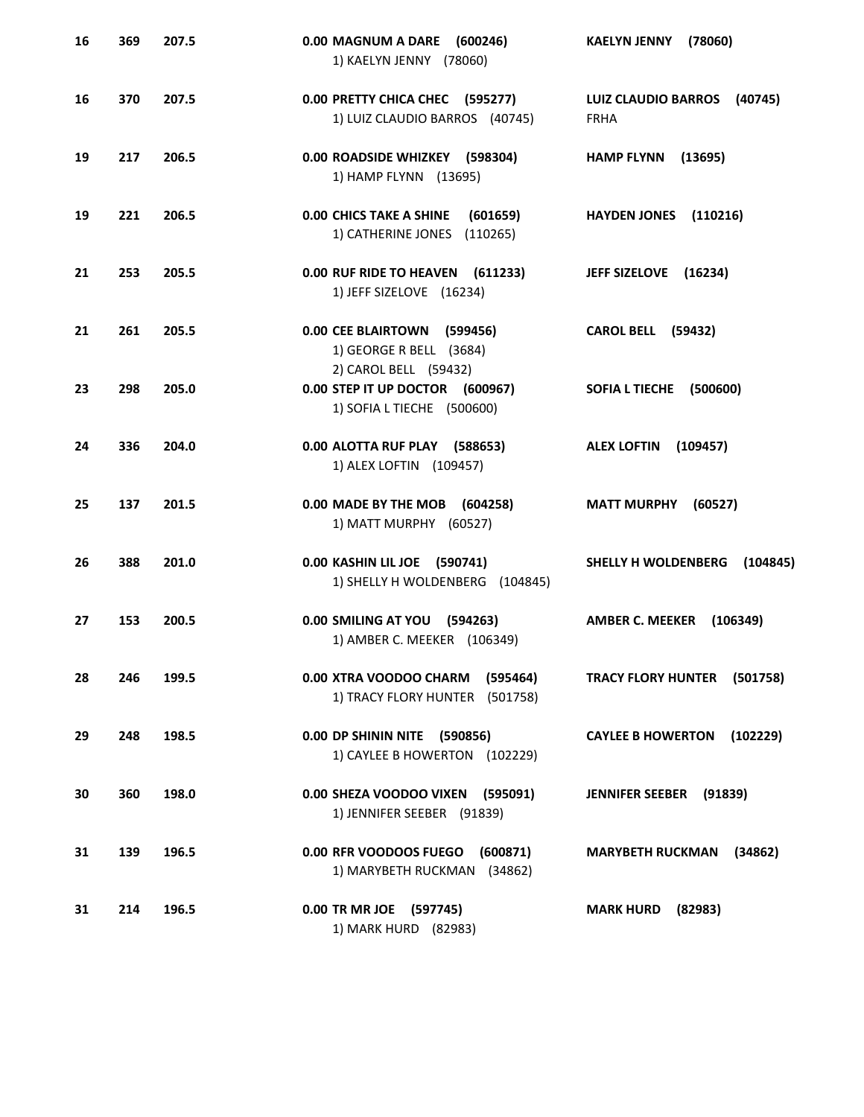| 16 | 369 | 207.5 | 0.00 MAGNUM A DARE<br>(600246)<br>1) KAELYN JENNY (78060)                              | <b>KAELYN JENNY</b><br>(78060)                       |
|----|-----|-------|----------------------------------------------------------------------------------------|------------------------------------------------------|
| 16 | 370 | 207.5 | 0.00 PRETTY CHICA CHEC (595277)<br>1) LUIZ CLAUDIO BARROS (40745)                      | <b>LUIZ CLAUDIO BARROS</b><br>(40745)<br><b>FRHA</b> |
| 19 | 217 | 206.5 | 0.00 ROADSIDE WHIZKEY (598304)<br>1) HAMP FLYNN (13695)                                | <b>HAMP FLYNN</b><br>(13695)                         |
| 19 | 221 | 206.5 | <b>0.00 CHICS TAKE A SHINE</b><br>(601659)<br>1) CATHERINE JONES<br>(110265)           | <b>HAYDEN JONES</b><br>(110216)                      |
| 21 | 253 | 205.5 | 0.00 RUF RIDE TO HEAVEN (611233)<br>1) JEFF SIZELOVE (16234)                           | JEFF SIZELOVE (16234)                                |
| 21 | 261 | 205.5 | 0.00 CEE BLAIRTOWN (599456)<br>1) GEORGE R BELL (3684)                                 | <b>CAROL BELL (59432)</b>                            |
| 23 | 298 | 205.0 | 2) CAROL BELL (59432)<br>0.00 STEP IT UP DOCTOR (600967)<br>1) SOFIA L TIECHE (500600) | <b>SOFIA L TIECHE</b><br>(500600)                    |
| 24 | 336 | 204.0 | 0.00 ALOTTA RUF PLAY (588653)<br>1) ALEX LOFTIN (109457)                               | <b>ALEX LOFTIN</b><br>(109457)                       |
| 25 | 137 | 201.5 | 0.00 MADE BY THE MOB (604258)<br>1) MATT MURPHY (60527)                                | <b>MATT MURPHY</b><br>(60527)                        |
| 26 | 388 | 201.0 | 0.00 KASHIN LIL JOE (590741)<br>1) SHELLY H WOLDENBERG (104845)                        | SHELLY H WOLDENBERG<br>(104845)                      |
| 27 | 153 | 200.5 | 0.00 SMILING AT YOU (594263)<br>1) AMBER C. MEEKER (106349)                            | <b>AMBER C. MEEKER</b><br>(106349)                   |
| 28 | 246 | 199.5 | 0.00 XTRA VOODOO CHARM (595464)<br>1) TRACY FLORY HUNTER (501758)                      | TRACY FLORY HUNTER (501758)                          |
| 29 | 248 | 198.5 | 0.00 DP SHININ NITE (590856)<br>1) CAYLEE B HOWERTON (102229)                          | <b>CAYLEE B HOWERTON</b><br>(102229)                 |
| 30 | 360 | 198.0 | 0.00 SHEZA VOODOO VIXEN (595091)<br>1) JENNIFER SEEBER (91839)                         | JENNIFER SEEBER (91839)                              |
| 31 | 139 | 196.5 | 0.00 RFR VOODOOS FUEGO<br>(600871)<br>1) MARYBETH RUCKMAN (34862)                      | <b>MARYBETH RUCKMAN</b><br>(34862)                   |
| 31 | 214 | 196.5 | 0.00 TR MR JOE (597745)<br>1) MARK HURD (82983)                                        | <b>MARK HURD</b><br>(82983)                          |
|    |     |       |                                                                                        |                                                      |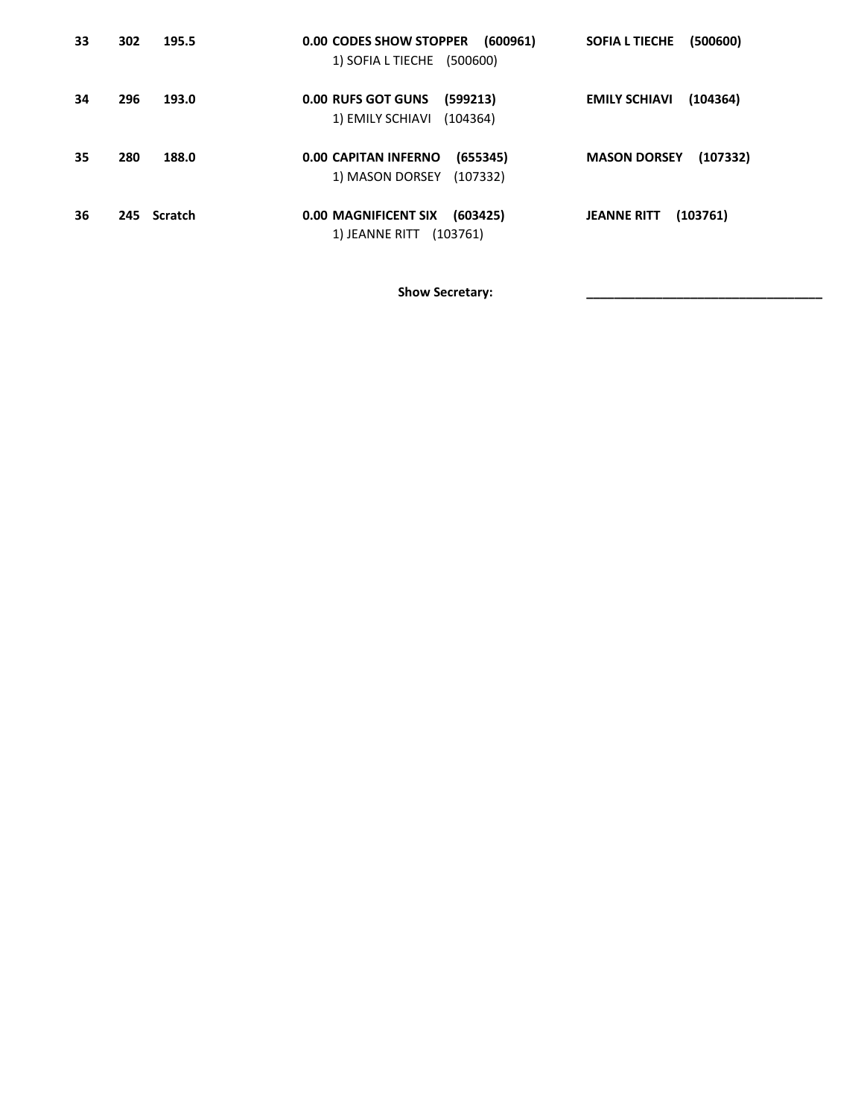| 33 | 302         | 195.5 | 0.00 CODES SHOW STOPPER<br>(600961)                                | SOFIA L TIECHE<br>(500600)       |
|----|-------------|-------|--------------------------------------------------------------------|----------------------------------|
|    |             |       | 1) SOFIA L TIECHE (500600)                                         |                                  |
| 34 | 296         | 193.0 | <b>0.00 RUFS GOT GUNS</b><br>(599213)                              | <b>EMILY SCHIAVI</b><br>(104364) |
|    |             |       | 1) EMILY SCHIAVI<br>(104364)                                       |                                  |
| 35 | 280         | 188.0 | <b>0.00 CAPITAN INFERNO</b><br>(655345)                            | <b>MASON DORSEY</b><br>(107332)  |
|    |             |       | 1) MASON DORSEY<br>(107332)                                        |                                  |
|    |             |       |                                                                    |                                  |
| 36 | 245 Scratch |       | <b>0.00 MAGNIFICENT SIX</b><br>(603425)<br>1) JEANNE RITT (103761) | <b>JEANNE RITT</b><br>(103761)   |
|    |             |       |                                                                    |                                  |

Show Secretary: